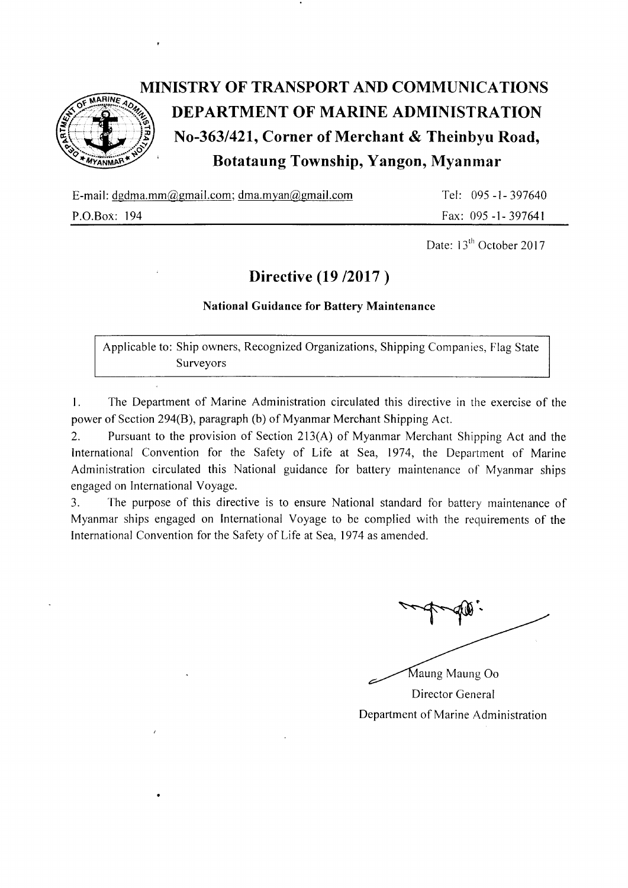

## MINISTRY OF TRANSPORT AND COMMUNICATIONS DEPARTMENT OF MARINE ADMINISTRATION No-363/421, Corner of Merchant & Theinbyu Road, ' Botataung Township, Yangon, Myanmar

E-mail: dgdma.mm@gmail.com; dma.myan@gmail.com

P.O.Box: 194

Tel: 095 -l -397640 Fax: 095 -1-397641

Date: 13<sup>th</sup> October 2017

### Directive (19 / 2017)

#### National Guidance for Battery Maintenance

Applicable to: Ship owners, Recognized Organizations, Shipping Companies, Flag State Surveyors

L The Department of Marine Administration circulated this directive in the exercise of the power of Section 294(B), paragraph (b) of Myanmar Merchant Shipping Act.

2. Pursuant to the provision of Section 213(A) of Myanmar Merchant Shipping Act and the International Convention for the Safety of Life at Sea, 1974, the Department of Marine Administration circulated this National guidance for battery maintenance of Myanmar ships engaged on International Voyage.

3. The purpose of this directive is to ensure National standard for battery maintenance of Myanmar ships engaged on International Voyage to be complied with the requirements of the International Convention for the Safety of Life at Sea. 1974 as amended.

Director General Department of Marine Administration Maung Maung Oo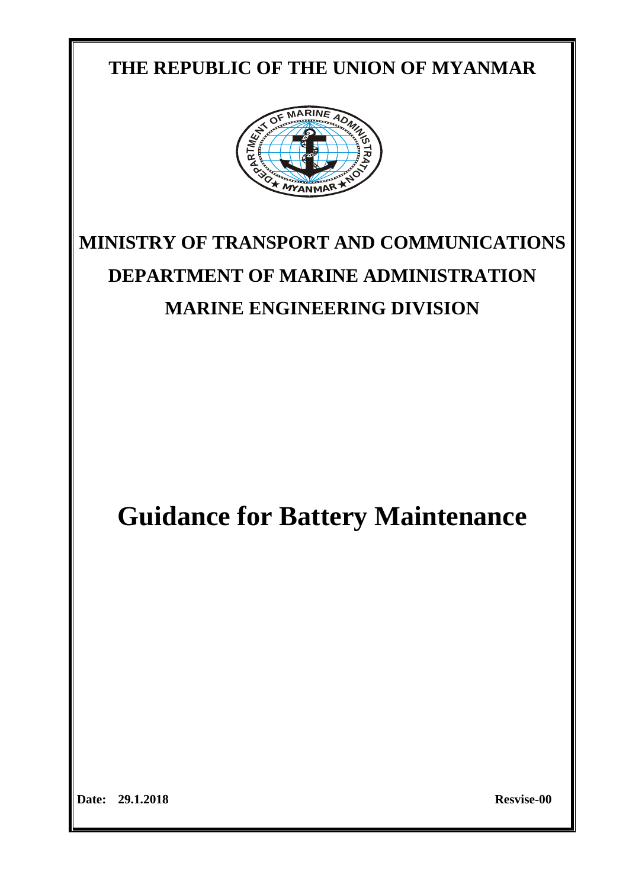## **THE REPUBLIC OF THE UNION OF MYANMAR**



# **MINISTRY OF TRANSPORT AND COMMUNICATIONS DEPARTMENT OF MARINE ADMINISTRATION MARINE ENGINEERING DIVISION**

**Guidance for Battery Maintenance**

**Date: 29.1.2018 Resvise-00**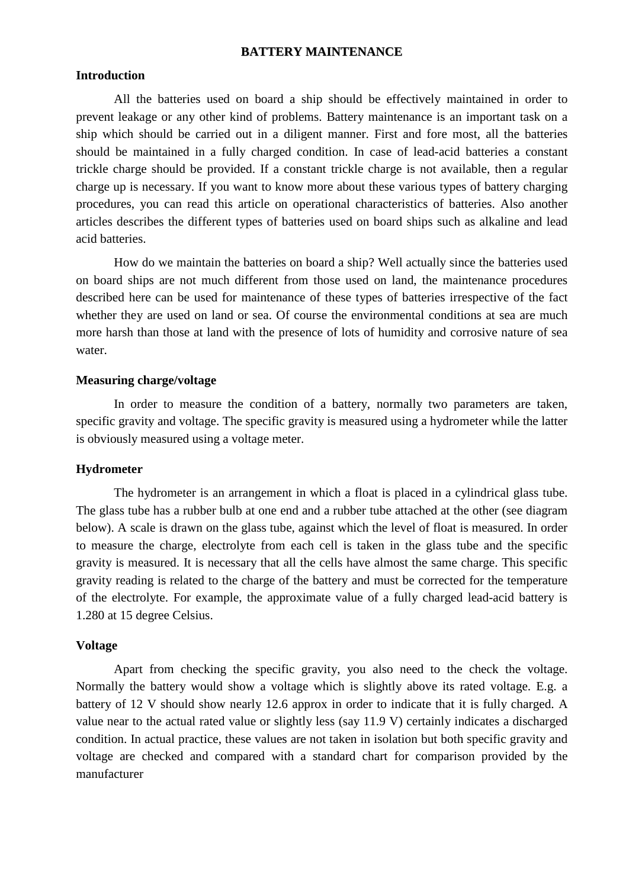#### **BATTERY MAINTENANCE**

#### **Introduction**

All the batteries used on board a ship should be effectively maintained in order to prevent leakage or any other kind of problems. Battery maintenance is an important task on a ship which should be carried out in a diligent manner. First and fore most, all the batteries should be maintained in a fully charged condition. In case of lead-acid batteries a constant trickle charge should be provided. If a constant trickle charge is not available, then a regular charge up is necessary. If you want to know more about these various [types of battery](http://www.brighthubengineering.com/power-generation-distribution/123909-types-of-batteries-and-their-applications/) charging procedures, you can read this article on [operational characteristics](http://www.brighthubengineering.com/marine-engines-machinery/49639-battery-selection-for-marine-purposes/) of batteries. Also another articles describes the different [types of batteries](http://www.brighthubengineering.com/power-generation-distribution/123909-types-of-batteries-and-their-applications/) used on board ships such as [alkaline and lead](http://www.brighthubengineering.com/marine-engines-machinery/49635-batteries-used-on-ships/)  [acid batteries.](http://www.brighthubengineering.com/marine-engines-machinery/49635-batteries-used-on-ships/)

How do we maintain the batteries on board a ship? Well actually since the batteries used on board ships are not much different from those used on land, the maintenance procedures described here can be used for maintenance of these [types of batteries](http://www.brighthubengineering.com/power-generation-distribution/123909-types-of-batteries-and-their-applications/) irrespective of the fact whether they are used on land or sea. Of course the environmental conditions at sea are much more harsh than those at land with the presence of lots of humidity and corrosive nature of sea water.

#### **Measuring charge/voltage**

In order to measure the condition of a battery, normally two parameters are taken, specific gravity and voltage. The specific gravity is measured using a hydrometer while the latter is obviously measured using a voltage meter.

#### **Hydrometer**

The hydrometer is an arrangement in which a float is placed in a cylindrical glass tube. The glass tube has a rubber bulb at one end and a rubber tube attached at the other (see diagram below). A scale is drawn on the glass tube, against which the level of float is measured. In order to measure the charge, electrolyte from each cell is taken in the glass tube and the specific gravity is measured. It is necessary that all the cells have almost the same charge. This specific gravity reading is related to the charge of the battery and must be corrected for the temperature of the electrolyte. For example, the approximate value of a fully charged lead-acid battery is 1.280 at 15 degree Celsius.

#### **Voltage**

Apart from checking the specific gravity, you also need to the check the voltage. Normally the battery would show a voltage which is slightly above its rated voltage. E.g. a battery of 12 V should show nearly 12.6 approx in order to indicate that it is fully charged. A value near to the actual rated value or slightly less (say 11.9 V) certainly indicates a discharged condition. In actual practice, these values are not taken in isolation but both specific gravity and voltage are checked and compared with a standard chart for comparison provided by the manufacturer